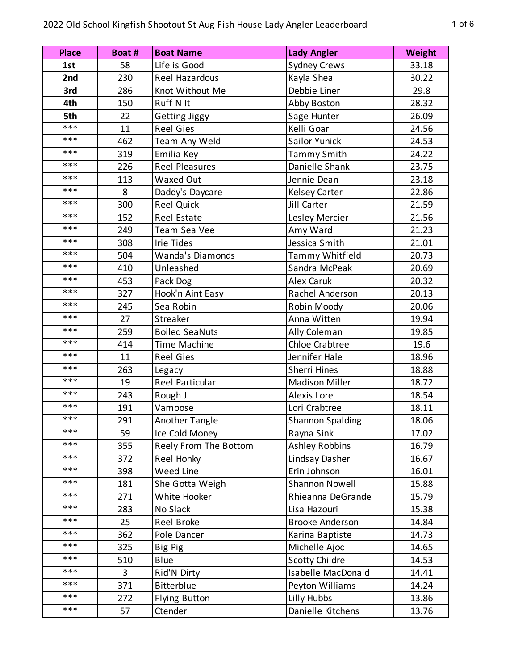| <b>Place</b> | Boat # | <b>Boat Name</b>       | <b>Lady Angler</b>        | <b>Weight</b> |
|--------------|--------|------------------------|---------------------------|---------------|
| 1st          | 58     | Life is Good           | <b>Sydney Crews</b>       | 33.18         |
| 2nd          | 230    | <b>Reel Hazardous</b>  | Kayla Shea                | 30.22         |
| 3rd          | 286    | Knot Without Me        | Debbie Liner              | 29.8          |
| 4th          | 150    | Ruff N It              | Abby Boston               | 28.32         |
| 5th          | 22     | Getting Jiggy          | Sage Hunter               | 26.09         |
| ***          | 11     | <b>Reel Gies</b>       | Kelli Goar                | 24.56         |
| ***          | 462    | Team Any Weld          | <b>Sailor Yunick</b>      | 24.53         |
| ***          | 319    | Emilia Key             | <b>Tammy Smith</b>        | 24.22         |
| ***          | 226    | <b>Reel Pleasures</b>  | Danielle Shank            | 23.75         |
| ***          | 113    | <b>Waxed Out</b>       | Jennie Dean               | 23.18         |
| ***          | 8      | Daddy's Daycare        | <b>Kelsey Carter</b>      | 22.86         |
| ***          | 300    | <b>Reel Quick</b>      | Jill Carter               | 21.59         |
| ***          | 152    | <b>Reel Estate</b>     | Lesley Mercier            | 21.56         |
| ***          | 249    | Team Sea Vee           | Amy Ward                  | 21.23         |
| ***          | 308    | <b>Irie Tides</b>      | Jessica Smith             | 21.01         |
| ***          | 504    | Wanda's Diamonds       | Tammy Whitfield           | 20.73         |
| ***          | 410    | Unleashed              | Sandra McPeak             | 20.69         |
| ***          | 453    | Pack Dog               | <b>Alex Caruk</b>         | 20.32         |
| ***          | 327    | Hook'n Aint Easy       | Rachel Anderson           | 20.13         |
| ***          | 245    | Sea Robin              | Robin Moody               | 20.06         |
| ***          | 27     | Streaker               | Anna Witten               | 19.94         |
| ***          | 259    | <b>Boiled SeaNuts</b>  | Ally Coleman              | 19.85         |
| ***          | 414    | <b>Time Machine</b>    | <b>Chloe Crabtree</b>     | 19.6          |
| ***          | 11     | <b>Reel Gies</b>       | Jennifer Hale             | 18.96         |
| ***          | 263    | Legacy                 | Sherri Hines              | 18.88         |
| ***          | 19     | <b>Reel Particular</b> | <b>Madison Miller</b>     | 18.72         |
| ***          | 243    | Rough J                | Alexis Lore               | 18.54         |
| ***          | 191    | Vamoose                | Lori Crabtree             | 18.11         |
| ***          | 291    | Another Tangle         | <b>Shannon Spalding</b>   | 18.06         |
| ***          | 59     | Ice Cold Money         | Rayna Sink                | 17.02         |
| ***          | 355    | Reely From The Bottom  | <b>Ashley Robbins</b>     | 16.79         |
| ***          | 372    | Reel Honky             | Lindsay Dasher            | 16.67         |
| ***          | 398    | Weed Line              | Erin Johnson              | 16.01         |
| ***          | 181    | She Gotta Weigh        | Shannon Nowell            | 15.88         |
| ***          | 271    | White Hooker           | Rhieanna DeGrande         | 15.79         |
| ***          | 283    | No Slack               | Lisa Hazouri              | 15.38         |
| ***          | 25     | Reel Broke             | <b>Brooke Anderson</b>    | 14.84         |
| ***          | 362    | Pole Dancer            | Karina Baptiste           | 14.73         |
| ***          | 325    | Big Pig                | Michelle Ajoc             | 14.65         |
| ***          | 510    | Blue                   | <b>Scotty Childre</b>     | 14.53         |
| ***          | 3      | Rid'N Dirty            | <b>Isabelle MacDonald</b> | 14.41         |
| ***          | 371    | Bitterblue             | Peyton Williams           | 14.24         |
| ***          | 272    | <b>Flying Button</b>   | Lilly Hubbs               | 13.86         |
| ***          | 57     | Ctender                | Danielle Kitchens         | 13.76         |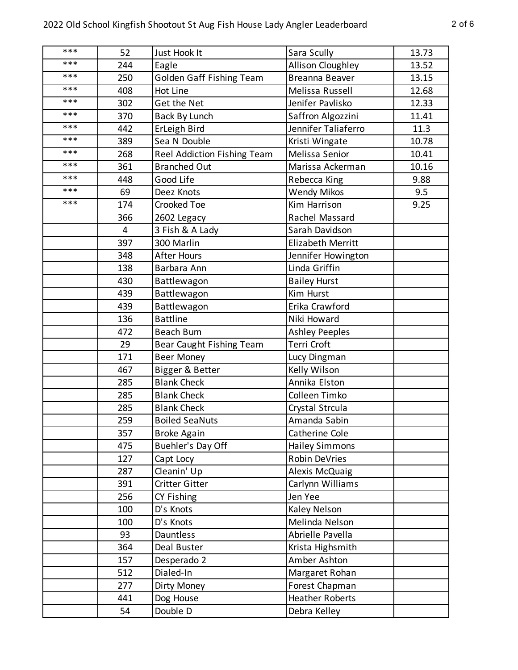| ***   | 52  | Just Hook It                       | Sara Scully              | 13.73 |
|-------|-----|------------------------------------|--------------------------|-------|
| ***   | 244 | Eagle                              | Allison Cloughley        | 13.52 |
| ***   | 250 | <b>Golden Gaff Fishing Team</b>    | Breanna Beaver           | 13.15 |
| ***   | 408 | Hot Line                           | Melissa Russell          | 12.68 |
| ***   | 302 | Get the Net                        | Jenifer Pavlisko         | 12.33 |
| ***   | 370 | <b>Back By Lunch</b>               | Saffron Algozzini        | 11.41 |
| $***$ | 442 | <b>ErLeigh Bird</b>                | Jennifer Taliaferro      | 11.3  |
| ***   | 389 | Sea N Double                       | Kristi Wingate           | 10.78 |
| ***   | 268 | <b>Reel Addiction Fishing Team</b> | Melissa Senior           | 10.41 |
| ***   | 361 | <b>Branched Out</b>                | Marissa Ackerman         | 10.16 |
| ***   | 448 | Good Life                          | Rebecca King             | 9.88  |
| ***   | 69  | Deez Knots                         | <b>Wendy Mikos</b>       | 9.5   |
| ***   | 174 | Crooked Toe                        | Kim Harrison             | 9.25  |
|       | 366 | 2602 Legacy                        | Rachel Massard           |       |
|       | 4   | 3 Fish & A Lady                    | Sarah Davidson           |       |
|       | 397 | 300 Marlin                         | <b>Elizabeth Merritt</b> |       |
|       | 348 | <b>After Hours</b>                 | Jennifer Howington       |       |
|       | 138 | Barbara Ann                        | Linda Griffin            |       |
|       | 430 | Battlewagon                        | <b>Bailey Hurst</b>      |       |
|       | 439 | Battlewagon                        | Kim Hurst                |       |
|       | 439 | Battlewagon                        | Erika Crawford           |       |
|       | 136 | <b>Battline</b>                    | Niki Howard              |       |
|       | 472 | <b>Beach Bum</b>                   | <b>Ashley Peeples</b>    |       |
|       | 29  | Bear Caught Fishing Team           | Terri Croft              |       |
|       | 171 | <b>Beer Money</b>                  | Lucy Dingman             |       |
|       | 467 | Bigger & Better                    | Kelly Wilson             |       |
|       | 285 | <b>Blank Check</b>                 | Annika Elston            |       |
|       | 285 | <b>Blank Check</b>                 | Colleen Timko            |       |
|       | 285 | <b>Blank Check</b>                 | Crystal Strcula          |       |
|       | 259 | <b>Boiled SeaNuts</b>              | Amanda Sabin             |       |
|       | 357 | <b>Broke Again</b>                 | Catherine Cole           |       |
|       | 475 | Buehler's Day Off                  | <b>Hailey Simmons</b>    |       |
|       | 127 | Capt Locy                          | Robin DeVries            |       |
|       | 287 | Cleanin' Up                        | Alexis McQuaig           |       |
|       | 391 | Critter Gitter                     | Carlynn Williams         |       |
|       | 256 | CY Fishing                         | Jen Yee                  |       |
|       | 100 | D's Knots                          | Kaley Nelson             |       |
|       | 100 | D's Knots                          | Melinda Nelson           |       |
|       | 93  | Dauntless                          | Abrielle Pavella         |       |
|       | 364 | Deal Buster                        | Krista Highsmith         |       |
|       | 157 | Desperado 2                        | Amber Ashton             |       |
|       | 512 | Dialed-In                          | Margaret Rohan           |       |
|       | 277 | Dirty Money                        | Forest Chapman           |       |
|       | 441 | Dog House                          | <b>Heather Roberts</b>   |       |
|       | 54  | Double D                           | Debra Kelley             |       |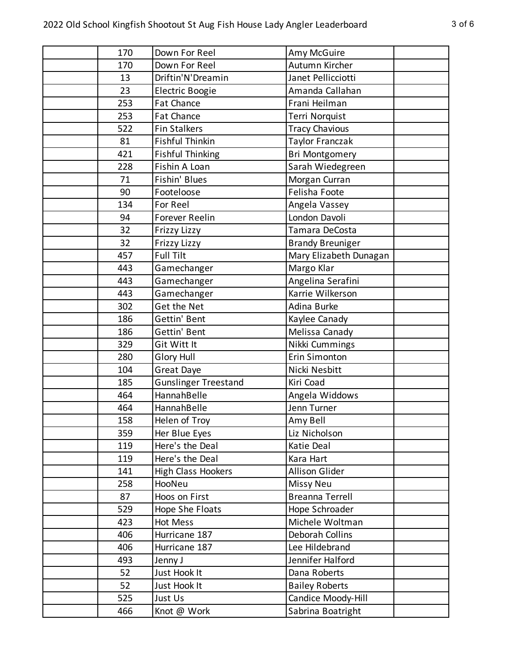| 170 | Down For Reel               | Amy McGuire             |
|-----|-----------------------------|-------------------------|
| 170 | Down For Reel               | Autumn Kircher          |
| 13  | Driftin'N'Dreamin           | Janet Pellicciotti      |
| 23  | Electric Boogie             | Amanda Callahan         |
| 253 | <b>Fat Chance</b>           | Frani Heilman           |
| 253 | Fat Chance                  | Terri Norquist          |
| 522 | <b>Fin Stalkers</b>         | <b>Tracy Chavious</b>   |
| 81  | Fishful Thinkin             | Taylor Franczak         |
| 421 | <b>Fishful Thinking</b>     | <b>Bri Montgomery</b>   |
| 228 | Fishin A Loan               | Sarah Wiedegreen        |
| 71  | Fishin' Blues               | Morgan Curran           |
| 90  | Footeloose                  | Felisha Foote           |
| 134 | For Reel                    | Angela Vassey           |
| 94  | Forever Reelin              | London Davoli           |
| 32  | Frizzy Lizzy                | Tamara DeCosta          |
| 32  | Frizzy Lizzy                | <b>Brandy Breuniger</b> |
| 457 | <b>Full Tilt</b>            | Mary Elizabeth Dunagan  |
| 443 | Gamechanger                 | Margo Klar              |
| 443 | Gamechanger                 | Angelina Serafini       |
| 443 | Gamechanger                 | Karrie Wilkerson        |
| 302 | Get the Net                 | Adina Burke             |
| 186 | Gettin' Bent                | Kaylee Canady           |
| 186 | Gettin' Bent                | Melissa Canady          |
| 329 | Git Witt It                 | Nikki Cummings          |
| 280 | <b>Glory Hull</b>           | <b>Erin Simonton</b>    |
| 104 | <b>Great Daye</b>           | Nicki Nesbitt           |
| 185 | <b>Gunslinger Treestand</b> | Kiri Coad               |
| 464 | HannahBelle                 | Angela Widdows          |
| 464 | HannahBelle                 | Jenn Turner             |
| 158 | Helen of Troy               | Amy Bell                |
| 359 | Her Blue Eyes               | Liz Nicholson           |
| 119 | Here's the Deal             | Katie Deal              |
| 119 | Here's the Deal             | Kara Hart               |
| 141 | <b>High Class Hookers</b>   | <b>Allison Glider</b>   |
| 258 | HooNeu                      | <b>Missy Neu</b>        |
| 87  | Hoos on First               | <b>Breanna Terrell</b>  |
| 529 | Hope She Floats             | Hope Schroader          |
| 423 | Hot Mess                    | Michele Woltman         |
| 406 | Hurricane 187               | Deborah Collins         |
| 406 | Hurricane 187               | Lee Hildebrand          |
| 493 | Jenny J                     | Jennifer Halford        |
| 52  | Just Hook It                | Dana Roberts            |
| 52  | Just Hook It                | <b>Bailey Roberts</b>   |
| 525 | Just Us                     | Candice Moody-Hill      |
| 466 | Knot @ Work                 | Sabrina Boatright       |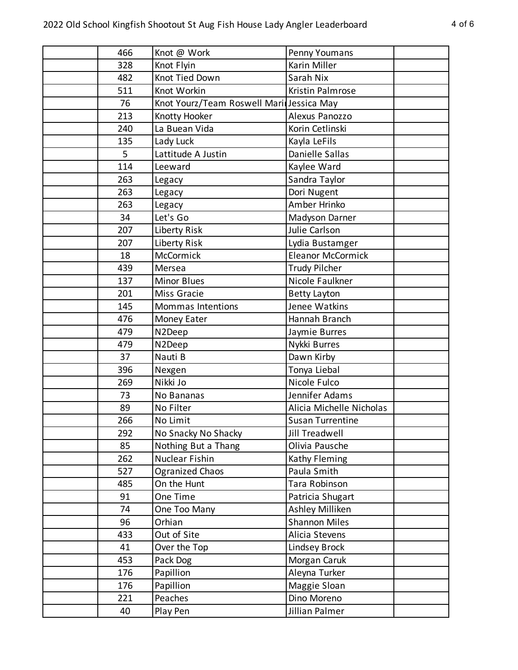| 466 | Knot @ Work                              | Penny Youmans            |
|-----|------------------------------------------|--------------------------|
| 328 | Knot Flyin                               | Karin Miller             |
| 482 | Knot Tied Down                           | Sarah Nix                |
| 511 | Knot Workin                              | Kristin Palmrose         |
| 76  | Knot Yourz/Team Roswell MarinJessica May |                          |
| 213 | Knotty Hooker                            | Alexus Panozzo           |
| 240 | La Buean Vida                            | Korin Cetlinski          |
| 135 | Lady Luck                                | Kayla LeFils             |
| 5   | Lattitude A Justin                       | Danielle Sallas          |
| 114 | Leeward                                  | Kaylee Ward              |
| 263 | Legacy                                   | Sandra Taylor            |
| 263 | Legacy                                   | Dori Nugent              |
| 263 | Legacy                                   | Amber Hrinko             |
| 34  | Let's Go                                 | Madyson Darner           |
| 207 | Liberty Risk                             | Julie Carlson            |
| 207 | Liberty Risk                             | Lydia Bustamger          |
| 18  | <b>McCormick</b>                         | <b>Eleanor McCormick</b> |
| 439 | Mersea                                   | <b>Trudy Pilcher</b>     |
| 137 | <b>Minor Blues</b>                       | Nicole Faulkner          |
| 201 | Miss Gracie                              | <b>Betty Layton</b>      |
| 145 | <b>Mommas Intentions</b>                 | Jenee Watkins            |
| 476 | Money Eater                              | Hannah Branch            |
| 479 | N2Deep                                   | Jaymie Burres            |
| 479 | N2Deep                                   | Nykki Burres             |
| 37  | Nauti B                                  | Dawn Kirby               |
| 396 | Nexgen                                   | Tonya Liebal             |
| 269 | Nikki Jo                                 | Nicole Fulco             |
| 73  | No Bananas                               | Jennifer Adams           |
| 89  | No Filter                                | Alicia Michelle Nicholas |
| 266 | No Limit                                 | Susan Turrentine         |
| 292 | No Snacky No Shacky                      | <b>Jill Treadwell</b>    |
| 85  | Nothing But a Thang                      | Olivia Pausche           |
| 262 | Nuclear Fishin                           | Kathy Fleming            |
| 527 | Ogranized Chaos                          | Paula Smith              |
| 485 | On the Hunt                              | Tara Robinson            |
| 91  | One Time                                 | Patricia Shugart         |
| 74  | One Too Many                             | Ashley Milliken          |
| 96  | Orhian                                   | <b>Shannon Miles</b>     |
| 433 | Out of Site                              | Alicia Stevens           |
| 41  | Over the Top                             | Lindsey Brock            |
| 453 | Pack Dog                                 | Morgan Caruk             |
| 176 | Papillion                                | Aleyna Turker            |
| 176 | Papillion                                | Maggie Sloan             |
| 221 | Peaches                                  | Dino Moreno              |
| 40  | Play Pen                                 | Jillian Palmer           |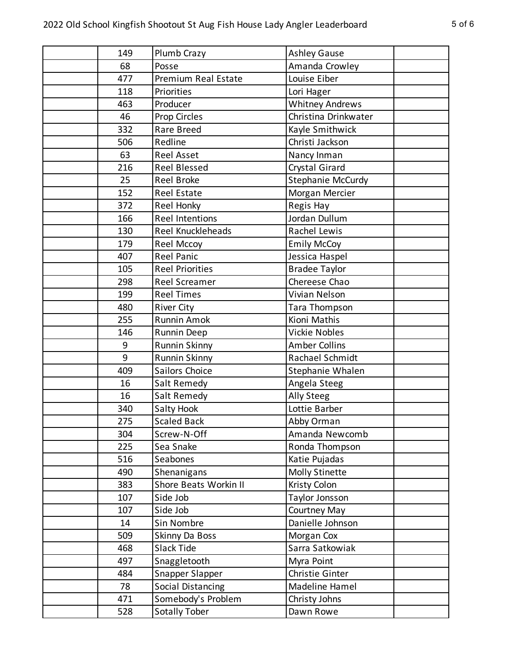| 149 | Plumb Crazy            | <b>Ashley Gause</b>    |
|-----|------------------------|------------------------|
| 68  | Posse                  | Amanda Crowley         |
| 477 | Premium Real Estate    | Louise Eiber           |
| 118 | Priorities             | Lori Hager             |
| 463 | Producer               | <b>Whitney Andrews</b> |
| 46  | Prop Circles           | Christina Drinkwater   |
| 332 | <b>Rare Breed</b>      | Kayle Smithwick        |
| 506 | Redline                | Christi Jackson        |
| 63  | <b>Reel Asset</b>      | Nancy Inman            |
| 216 | <b>Reel Blessed</b>    | Crystal Girard         |
| 25  | Reel Broke             | Stephanie McCurdy      |
| 152 | <b>Reel Estate</b>     | Morgan Mercier         |
| 372 | Reel Honky             | Regis Hay              |
| 166 | <b>Reel Intentions</b> | Jordan Dullum          |
| 130 | Reel Knuckleheads      | Rachel Lewis           |
| 179 | Reel Mccoy             | <b>Emily McCoy</b>     |
| 407 | <b>Reel Panic</b>      | Jessica Haspel         |
| 105 | <b>Reel Priorities</b> | <b>Bradee Taylor</b>   |
| 298 | <b>Reel Screamer</b>   | Chereese Chao          |
| 199 | <b>Reel Times</b>      | Vivian Nelson          |
| 480 | <b>River City</b>      | Tara Thompson          |
| 255 | <b>Runnin Amok</b>     | Kioni Mathis           |
| 146 | <b>Runnin Deep</b>     | <b>Vickie Nobles</b>   |
| 9   | Runnin Skinny          | <b>Amber Collins</b>   |
| 9   | Runnin Skinny          | Rachael Schmidt        |
| 409 | Sailors Choice         | Stephanie Whalen       |
| 16  | Salt Remedy            | Angela Steeg           |
| 16  | Salt Remedy            | Ally Steeg             |
| 340 | Salty Hook             | Lottie Barber          |
| 275 | <b>Scaled Back</b>     | Abby Orman             |
| 304 | Screw-N-Off            | Amanda Newcomb         |
| 225 | Sea Snake              | Ronda Thompson         |
| 516 | Seabones               | Katie Pujadas          |
| 490 | Shenanigans            | <b>Molly Stinette</b>  |
| 383 | Shore Beats Workin II  | Kristy Colon           |
| 107 | Side Job               | Taylor Jonsson         |
| 107 | Side Job               | Courtney May           |
| 14  | Sin Nombre             | Danielle Johnson       |
| 509 | Skinny Da Boss         | Morgan Cox             |
| 468 | Slack Tide             | Sarra Satkowiak        |
| 497 | Snaggletooth           | Myra Point             |
| 484 | Snapper Slapper        | Christie Ginter        |
| 78  | Social Distancing      | Madeline Hamel         |
| 471 | Somebody's Problem     | Christy Johns          |
| 528 | Sotally Tober          | Dawn Rowe              |